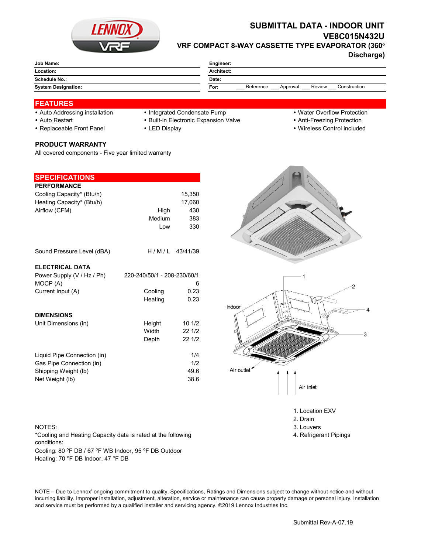

# **SUBMITTAL DATA - INDOOR UNIT VE8C015N432U VRF COMPACT 8-WAY CASSETTE TYPE EVAPORATOR (360°**

**Discharge)**

| Job Name:                  | Engineer:                                               |  |  |
|----------------------------|---------------------------------------------------------|--|--|
| Location:                  | Architect:                                              |  |  |
| Schedule No.:              | Date:                                                   |  |  |
| <b>System Designation:</b> | Reference<br>Review<br>Construction<br>For:<br>Approval |  |  |
|                            |                                                         |  |  |

## **FEATURES**

- Auto Addressing installation Integrated Condensate Pump Water Overflow Protection
	-
- Auto Restart **Built-in Electronic Expansion Valve Anti-Freezing Protection** Anti-Freezing Protection
- Replaceable Front Panel LED Display Wireless Control included

### **PRODUCT WARRANTY**

All covered components - Five year limited warranty

| <b>SPECIFICATIONS</b>       |                             |                  |
|-----------------------------|-----------------------------|------------------|
| <b>PERFORMANCE</b>          |                             |                  |
| Cooling Capacity* (Btu/h)   |                             | 15,350           |
| Heating Capacity* (Btu/h)   |                             | 17,060           |
| Airflow (CFM)               | High                        | 430              |
|                             | Medium                      | 383              |
|                             | Low                         | 330              |
|                             |                             |                  |
| Sound Pressure Level (dBA)  |                             | $H/M/L$ 43/41/39 |
|                             |                             |                  |
| <b>ELECTRICAL DATA</b>      |                             |                  |
| Power Supply (V / Hz / Ph)  | 220-240/50/1 - 208-230/60/1 |                  |
| MOCP (A)                    |                             | 6                |
| Current Input (A)           | Cooling                     | 0.23             |
|                             | Heating                     | 0.23             |
| <b>DIMENSIONS</b>           |                             |                  |
|                             |                             |                  |
| Unit Dimensions (in)        | Height<br>Width             | 101/2            |
|                             |                             | 22 1/2           |
|                             | Depth                       | 22 1/2           |
| Liquid Pipe Connection (in) |                             | 1/4              |
| Gas Pipe Connection (in)    |                             | 1/2              |
| Shipping Weight (lb)        |                             | 49.6             |
| Net Weight (lb)             |                             | 38.6             |
|                             |                             |                  |

#### NOTES: 3. Louvers 3. Louvers 3. Louvers 3. Louvers 3. Louvers 3. Louvers 3. Louvers 3. Louvers 3. Louvers 3. Louvers 3. Louvers 3. Louvers 3. Louvers 3. Louvers 3. Louvers 3. Louvers 3. Louvers 3. Louvers 3. Louvers 3. Lou

Cooling: 80 °F DB / 67 °F WB Indoor, 95 °F DB Outdoor Heating: 70 °F DB Indoor, 47 °F DB \*Cooling and Heating Capacity data is rated at the following conditions:



1. Location EXV

- 2. Drain
- 
- 4. Refrigerant Pipings

NOTE – Due to Lennox' ongoing commitment to quality, Specifications, Ratings and Dimensions subject to change without notice and without incurring liability. Improper installation, adjustment, alteration, service or maintenance can cause property damage or personal injury. Installation and service must be performed by a qualified installer and servicing agency. ©2019 Lennox Industries Inc.